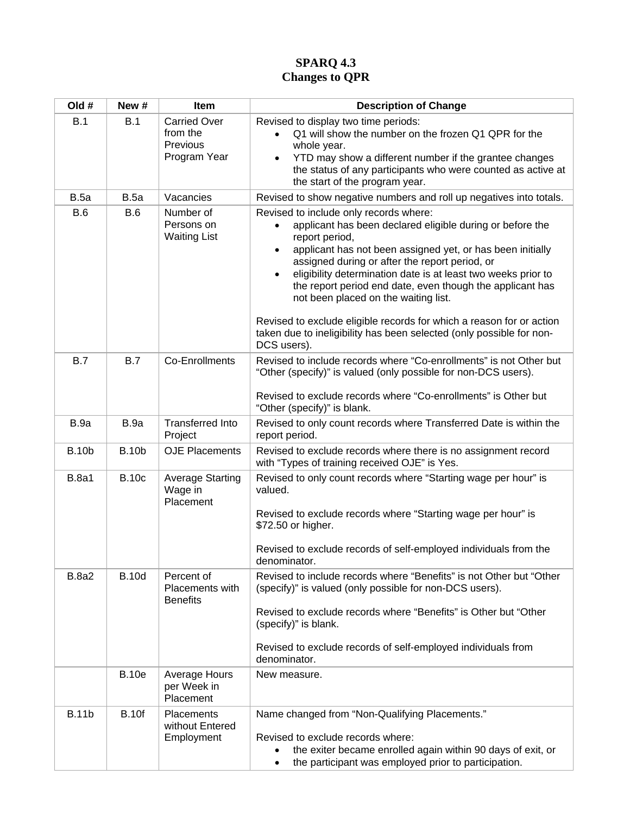## **SPARQ 4.3 Changes to QPR**

| Old #        | New #        | Item                                                        | <b>Description of Change</b>                                                                                                                                                                                                                                                                                                                                                                                                                                                                                                                                                                         |
|--------------|--------------|-------------------------------------------------------------|------------------------------------------------------------------------------------------------------------------------------------------------------------------------------------------------------------------------------------------------------------------------------------------------------------------------------------------------------------------------------------------------------------------------------------------------------------------------------------------------------------------------------------------------------------------------------------------------------|
| B.1          | B.1          | <b>Carried Over</b><br>from the<br>Previous<br>Program Year | Revised to display two time periods:<br>Q1 will show the number on the frozen Q1 QPR for the<br>whole year.<br>YTD may show a different number if the grantee changes<br>the status of any participants who were counted as active at<br>the start of the program year.                                                                                                                                                                                                                                                                                                                              |
| <b>B.5a</b>  | <b>B.5a</b>  | Vacancies                                                   | Revised to show negative numbers and roll up negatives into totals.                                                                                                                                                                                                                                                                                                                                                                                                                                                                                                                                  |
| <b>B.6</b>   | <b>B.6</b>   | Number of<br>Persons on<br><b>Waiting List</b>              | Revised to include only records where:<br>applicant has been declared eligible during or before the<br>report period,<br>applicant has not been assigned yet, or has been initially<br>$\bullet$<br>assigned during or after the report period, or<br>eligibility determination date is at least two weeks prior to<br>$\bullet$<br>the report period end date, even though the applicant has<br>not been placed on the waiting list.<br>Revised to exclude eligible records for which a reason for or action<br>taken due to ineligibility has been selected (only possible for non-<br>DCS users). |
| B.7          | B.7          | Co-Enrollments                                              | Revised to include records where "Co-enrollments" is not Other but<br>"Other (specify)" is valued (only possible for non-DCS users).<br>Revised to exclude records where "Co-enrollments" is Other but<br>"Other (specify)" is blank.                                                                                                                                                                                                                                                                                                                                                                |
| B.9a         | B.9a         | <b>Transferred Into</b><br>Project                          | Revised to only count records where Transferred Date is within the<br>report period.                                                                                                                                                                                                                                                                                                                                                                                                                                                                                                                 |
| <b>B.10b</b> | <b>B.10b</b> | <b>OJE Placements</b>                                       | Revised to exclude records where there is no assignment record<br>with "Types of training received OJE" is Yes.                                                                                                                                                                                                                                                                                                                                                                                                                                                                                      |
| <b>B.8a1</b> | <b>B.10c</b> | <b>Average Starting</b><br>Wage in<br>Placement             | Revised to only count records where "Starting wage per hour" is<br>valued.<br>Revised to exclude records where "Starting wage per hour" is<br>\$72.50 or higher.<br>Revised to exclude records of self-employed individuals from the<br>denominator.                                                                                                                                                                                                                                                                                                                                                 |
| <b>B.8a2</b> | <b>B.10d</b> | Percent of<br>Placements with<br><b>Benefits</b>            | Revised to include records where "Benefits" is not Other but "Other<br>(specify)" is valued (only possible for non-DCS users).<br>Revised to exclude records where "Benefits" is Other but "Other<br>(specify)" is blank.<br>Revised to exclude records of self-employed individuals from<br>denominator.                                                                                                                                                                                                                                                                                            |
|              | <b>B.10e</b> | Average Hours<br>per Week in<br>Placement                   | New measure.                                                                                                                                                                                                                                                                                                                                                                                                                                                                                                                                                                                         |
| <b>B.11b</b> | <b>B.10f</b> | Placements<br>without Entered<br>Employment                 | Name changed from "Non-Qualifying Placements."<br>Revised to exclude records where:<br>the exiter became enrolled again within 90 days of exit, or<br>the participant was employed prior to participation.                                                                                                                                                                                                                                                                                                                                                                                           |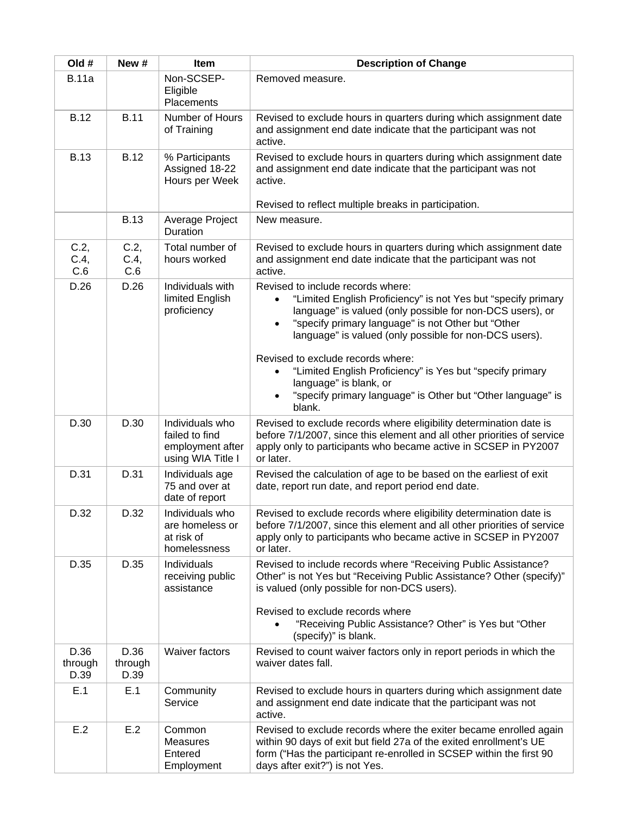| Old #                   | New #                   | Item                                                                       | <b>Description of Change</b>                                                                                                                                                                                                                                                                                                                                                                                                                                                                                                             |
|-------------------------|-------------------------|----------------------------------------------------------------------------|------------------------------------------------------------------------------------------------------------------------------------------------------------------------------------------------------------------------------------------------------------------------------------------------------------------------------------------------------------------------------------------------------------------------------------------------------------------------------------------------------------------------------------------|
| <b>B.11a</b>            |                         | Non-SCSEP-<br>Eligible<br>Placements                                       | Removed measure.                                                                                                                                                                                                                                                                                                                                                                                                                                                                                                                         |
| <b>B.12</b>             | <b>B.11</b>             | Number of Hours<br>of Training                                             | Revised to exclude hours in quarters during which assignment date<br>and assignment end date indicate that the participant was not<br>active.                                                                                                                                                                                                                                                                                                                                                                                            |
| <b>B.13</b>             | <b>B.12</b>             | % Participants<br>Assigned 18-22<br>Hours per Week                         | Revised to exclude hours in quarters during which assignment date<br>and assignment end date indicate that the participant was not<br>active.<br>Revised to reflect multiple breaks in participation.                                                                                                                                                                                                                                                                                                                                    |
|                         | <b>B.13</b>             | Average Project<br>Duration                                                | New measure.                                                                                                                                                                                                                                                                                                                                                                                                                                                                                                                             |
| C.2,<br>C.4,<br>C.6     | C.2,<br>C.4,<br>C.6     | Total number of<br>hours worked                                            | Revised to exclude hours in quarters during which assignment date<br>and assignment end date indicate that the participant was not<br>active.                                                                                                                                                                                                                                                                                                                                                                                            |
| D.26                    | D.26                    | Individuals with<br>limited English<br>proficiency                         | Revised to include records where:<br>"Limited English Proficiency" is not Yes but "specify primary<br>$\bullet$<br>language" is valued (only possible for non-DCS users), or<br>"specify primary language" is not Other but "Other<br>$\bullet$<br>language" is valued (only possible for non-DCS users).<br>Revised to exclude records where:<br>"Limited English Proficiency" is Yes but "specify primary<br>$\bullet$<br>language" is blank, or<br>"specify primary language" is Other but "Other language" is<br>$\bullet$<br>blank. |
| D.30                    | D.30                    | Individuals who<br>failed to find<br>employment after<br>using WIA Title I | Revised to exclude records where eligibility determination date is<br>before 7/1/2007, since this element and all other priorities of service<br>apply only to participants who became active in SCSEP in PY2007<br>or later.                                                                                                                                                                                                                                                                                                            |
| D.31                    | D.31                    | Individuals age<br>75 and over at<br>date of report                        | Revised the calculation of age to be based on the earliest of exit<br>date, report run date, and report period end date.                                                                                                                                                                                                                                                                                                                                                                                                                 |
| D.32                    | D.32                    | Individuals who<br>are homeless or<br>at risk of<br>homelessness           | Revised to exclude records where eligibility determination date is<br>before 7/1/2007, since this element and all other priorities of service<br>apply only to participants who became active in SCSEP in PY2007<br>or later.                                                                                                                                                                                                                                                                                                            |
| D.35                    | D.35                    | Individuals<br>receiving public<br>assistance                              | Revised to include records where "Receiving Public Assistance?<br>Other" is not Yes but "Receiving Public Assistance? Other (specify)"<br>is valued (only possible for non-DCS users).<br>Revised to exclude records where<br>"Receiving Public Assistance? Other" is Yes but "Other<br>(specify)" is blank.                                                                                                                                                                                                                             |
| D.36<br>through<br>D.39 | D.36<br>through<br>D.39 | <b>Waiver factors</b>                                                      | Revised to count waiver factors only in report periods in which the<br>waiver dates fall.                                                                                                                                                                                                                                                                                                                                                                                                                                                |
| E.1                     | E.1                     | Community<br>Service                                                       | Revised to exclude hours in quarters during which assignment date<br>and assignment end date indicate that the participant was not<br>active.                                                                                                                                                                                                                                                                                                                                                                                            |
| E.2                     | E.2                     | Common<br><b>Measures</b><br>Entered<br>Employment                         | Revised to exclude records where the exiter became enrolled again<br>within 90 days of exit but field 27a of the exited enrollment's UE<br>form ("Has the participant re-enrolled in SCSEP within the first 90<br>days after exit?") is not Yes.                                                                                                                                                                                                                                                                                         |